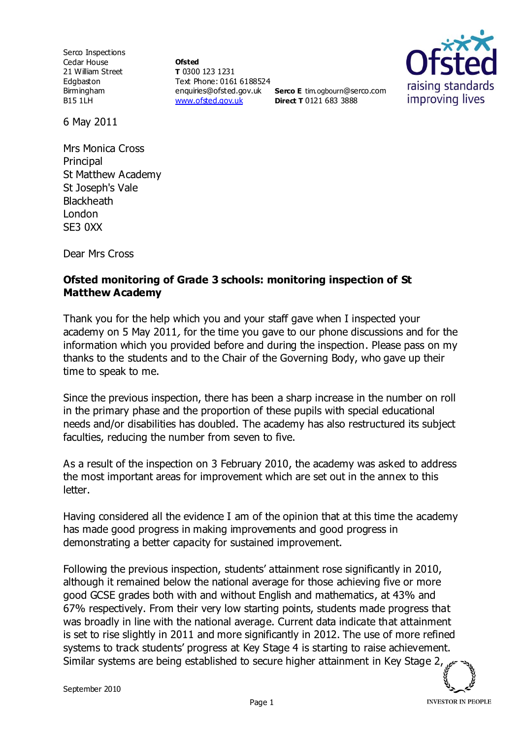Serco Inspections Cedar House 21 William Street Edgbaston Birmingham B15 1LH

**Ofsted T** 0300 123 1231 Text Phone: 0161 6188524 enquiries@ofsted.gov.uk **Serco E** tim.ogbourn@serco.com [www.ofsted.gov.uk](http://www.ofsted.gov.uk/)

**Direct T** 0121 683 3888



6 May 2011

Mrs Monica Cross **Principal** St Matthew Academy St Joseph's Vale **Blackheath** London SE3 0XX

Dear Mrs Cross

## **Ofsted monitoring of Grade 3 schools: monitoring inspection of St Matthew Academy**

Thank you for the help which you and your staff gave when I inspected your academy on 5 May 2011, for the time you gave to our phone discussions and for the information which you provided before and during the inspection. Please pass on my thanks to the students and to the Chair of the Governing Body, who gave up their time to speak to me.

Since the previous inspection, there has been a sharp increase in the number on roll in the primary phase and the proportion of these pupils with special educational needs and/or disabilities has doubled. The academy has also restructured its subject faculties, reducing the number from seven to five.

As a result of the inspection on 3 February 2010, the academy was asked to address the most important areas for improvement which are set out in the annex to this letter.

Having considered all the evidence I am of the opinion that at this time the academy has made good progress in making improvements and good progress in demonstrating a better capacity for sustained improvement.

Following the previous inspection, students' attainment rose significantly in 2010, although it remained below the national average for those achieving five or more good GCSE grades both with and without English and mathematics, at 43% and 67% respectively. From their very low starting points, students made progress that was broadly in line with the national average. Current data indicate that attainment is set to rise slightly in 2011 and more significantly in 2012. The use of more refined systems to track students' progress at Key Stage 4 is starting to raise achievement. Similar systems are being established to secure higher attainment in Key Stage 2,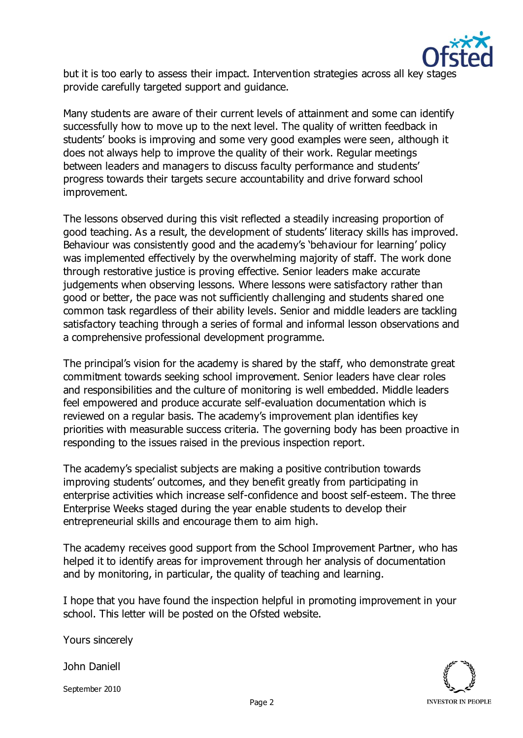

but it is too early to assess their impact. Intervention strategies across all key stages provide carefully targeted support and guidance.

Many students are aware of their current levels of attainment and some can identify successfully how to move up to the next level. The quality of written feedback in students' books is improving and some very good examples were seen, although it does not always help to improve the quality of their work. Regular meetings between leaders and managers to discuss faculty performance and students' progress towards their targets secure accountability and drive forward school improvement.

The lessons observed during this visit reflected a steadily increasing proportion of good teaching. As a result, the development of students' literacy skills has improved. Behaviour was consistently good and the academy's 'behaviour for learning' policy was implemented effectively by the overwhelming majority of staff. The work done through restorative justice is proving effective. Senior leaders make accurate judgements when observing lessons. Where lessons were satisfactory rather than good or better, the pace was not sufficiently challenging and students shared one common task regardless of their ability levels. Senior and middle leaders are tackling satisfactory teaching through a series of formal and informal lesson observations and a comprehensive professional development programme.

The principal's vision for the academy is shared by the staff, who demonstrate great commitment towards seeking school improvement. Senior leaders have clear roles and responsibilities and the culture of monitoring is well embedded. Middle leaders feel empowered and produce accurate self-evaluation documentation which is reviewed on a regular basis. The academy's improvement plan identifies key priorities with measurable success criteria. The governing body has been proactive in responding to the issues raised in the previous inspection report.

The academy's specialist subjects are making a positive contribution towards improving students' outcomes, and they benefit greatly from participating in enterprise activities which increase self-confidence and boost self-esteem. The three Enterprise Weeks staged during the year enable students to develop their entrepreneurial skills and encourage them to aim high.

The academy receives good support from the School Improvement Partner, who has helped it to identify areas for improvement through her analysis of documentation and by monitoring, in particular, the quality of teaching and learning.

I hope that you have found the inspection helpful in promoting improvement in your school. This letter will be posted on the Ofsted website.

Yours sincerely

John Daniell

September 2010

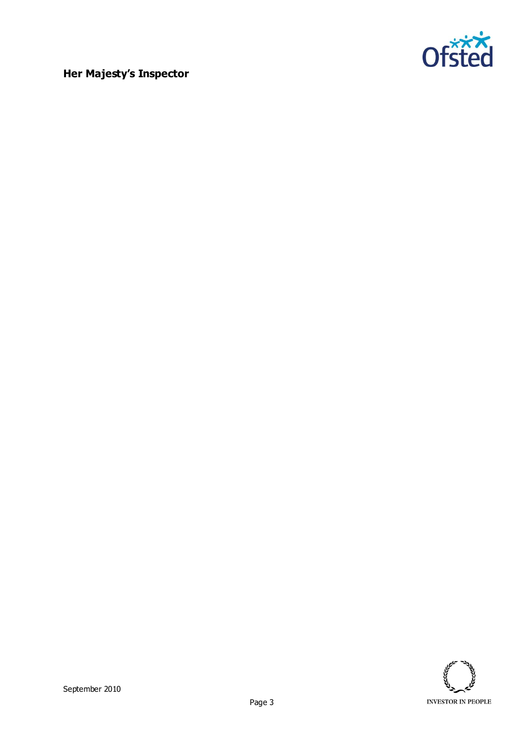

**Her Majesty's Inspector**